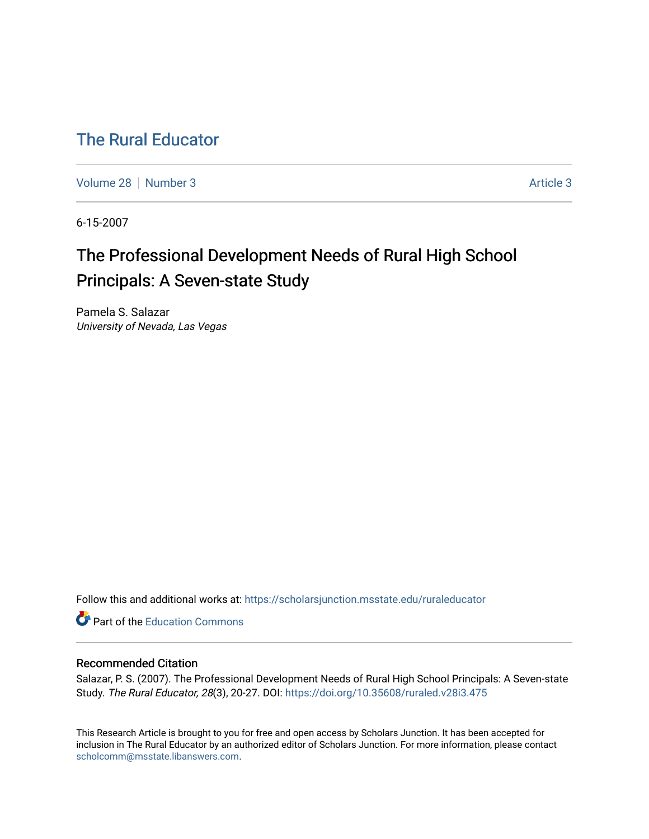## [The Rural Educator](https://scholarsjunction.msstate.edu/ruraleducator)

[Volume 28](https://scholarsjunction.msstate.edu/ruraleducator/vol28) [Number 3](https://scholarsjunction.msstate.edu/ruraleducator/vol28/iss3) [Article 3](https://scholarsjunction.msstate.edu/ruraleducator/vol28/iss3/3) Article 3

6-15-2007

# The Professional Development Needs of Rural High School Principals: A Seven-state Study

Pamela S. Salazar University of Nevada, Las Vegas

Follow this and additional works at: [https://scholarsjunction.msstate.edu/ruraleducator](https://scholarsjunction.msstate.edu/ruraleducator?utm_source=scholarsjunction.msstate.edu%2Fruraleducator%2Fvol28%2Fiss3%2F3&utm_medium=PDF&utm_campaign=PDFCoverPages)

**C** Part of the [Education Commons](http://network.bepress.com/hgg/discipline/784?utm_source=scholarsjunction.msstate.edu%2Fruraleducator%2Fvol28%2Fiss3%2F3&utm_medium=PDF&utm_campaign=PDFCoverPages)

### Recommended Citation

Salazar, P. S. (2007). The Professional Development Needs of Rural High School Principals: A Seven-state Study. The Rural Educator, 28(3), 20-27. DOI:<https://doi.org/10.35608/ruraled.v28i3.475>

This Research Article is brought to you for free and open access by Scholars Junction. It has been accepted for inclusion in The Rural Educator by an authorized editor of Scholars Junction. For more information, please contact [scholcomm@msstate.libanswers.com.](mailto:scholcomm@msstate.libanswers.com)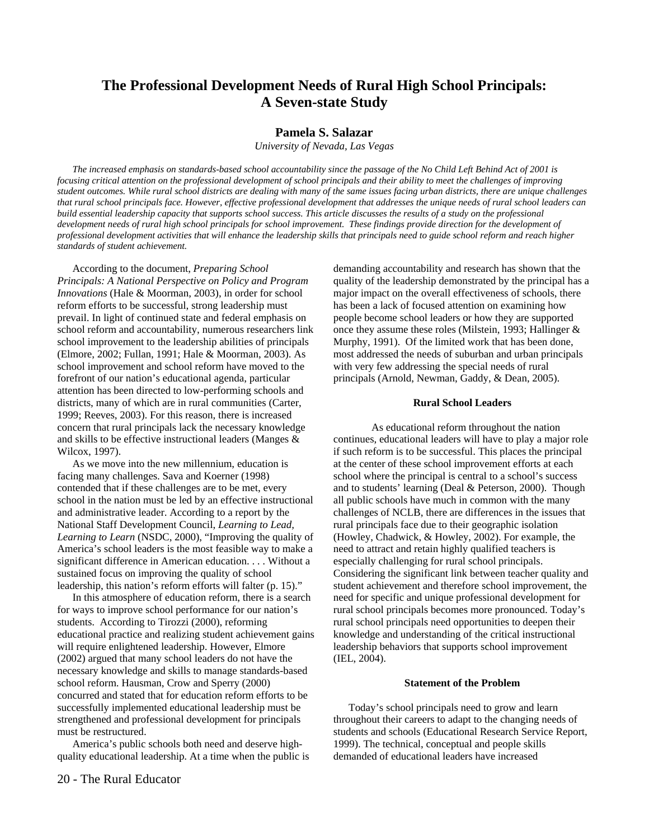## **The Professional Development Needs of Rural High School Principals: A Seven-state Study**

#### **Pamela S. Salazar**

*University of Nevada, Las Vegas* 

*The increased emphasis on standards-based school accountability since the passage of the No Child Left Behind Act of 2001 is focusing critical attention on the professional development of school principals and their ability to meet the challenges of improving student outcomes. While rural school districts are dealing with many of the same issues facing urban districts, there are unique challenges that rural school principals face. However, effective professional development that addresses the unique needs of rural school leaders can build essential leadership capacity that supports school success. This article discusses the results of a study on the professional* development needs of rural high school principals for school improvement. These findings provide direction for the development of *professional development activities that will enhance the leadership skills that principals need to guide school reform and reach higher standards of student achievement.* 

According to the document, *Preparing School Principals: A National Perspective on Policy and Program Innovations* (Hale & Moorman, 2003), in order for school reform efforts to be successful, strong leadership must prevail. In light of continued state and federal emphasis on school reform and accountability, numerous researchers link school improvement to the leadership abilities of principals (Elmore, 2002; Fullan, 1991; Hale & Moorman, 2003). As school improvement and school reform have moved to the forefront of our nation's educational agenda, particular attention has been directed to low-performing schools and districts, many of which are in rural communities (Carter, 1999; Reeves, 2003). For this reason, there is increased concern that rural principals lack the necessary knowledge and skills to be effective instructional leaders (Manges & Wilcox, 1997).

As we move into the new millennium, education is facing many challenges. Sava and Koerner (1998) contended that if these challenges are to be met, every school in the nation must be led by an effective instructional and administrative leader. According to a report by the National Staff Development Council, *Learning to Lead, Learning to Learn* (NSDC, 2000), "Improving the quality of America's school leaders is the most feasible way to make a significant difference in American education. . . . Without a sustained focus on improving the quality of school leadership, this nation's reform efforts will falter (p. 15)."

In this atmosphere of education reform, there is a search for ways to improve school performance for our nation's students. According to Tirozzi (2000), reforming educational practice and realizing student achievement gains will require enlightened leadership. However, Elmore (2002) argued that many school leaders do not have the necessary knowledge and skills to manage standards-based school reform. Hausman, Crow and Sperry (2000) concurred and stated that for education reform efforts to be successfully implemented educational leadership must be strengthened and professional development for principals must be restructured.

America's public schools both need and deserve highquality educational leadership. At a time when the public is demanding accountability and research has shown that the quality of the leadership demonstrated by the principal has a major impact on the overall effectiveness of schools, there has been a lack of focused attention on examining how people become school leaders or how they are supported once they assume these roles (Milstein, 1993; Hallinger & Murphy, 1991). Of the limited work that has been done, most addressed the needs of suburban and urban principals with very few addressing the special needs of rural principals (Arnold, Newman, Gaddy, & Dean, 2005).

#### **Rural School Leaders**

 As educational reform throughout the nation continues, educational leaders will have to play a major role if such reform is to be successful. This places the principal at the center of these school improvement efforts at each school where the principal is central to a school's success and to students' learning (Deal & Peterson, 2000). Though all public schools have much in common with the many challenges of NCLB, there are differences in the issues that rural principals face due to their geographic isolation (Howley, Chadwick, & Howley, 2002). For example, the need to attract and retain highly qualified teachers is especially challenging for rural school principals. Considering the significant link between teacher quality and student achievement and therefore school improvement, the need for specific and unique professional development for rural school principals becomes more pronounced. Today's rural school principals need opportunities to deepen their knowledge and understanding of the critical instructional leadership behaviors that supports school improvement (IEL, 2004).

#### **Statement of the Problem**

Today's school principals need to grow and learn throughout their careers to adapt to the changing needs of students and schools (Educational Research Service Report, 1999). The technical, conceptual and people skills demanded of educational leaders have increased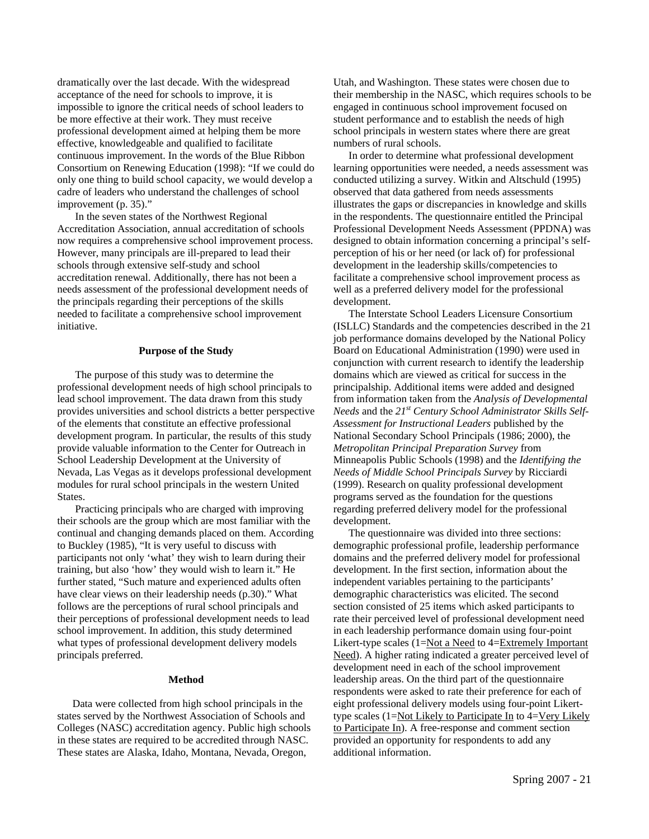dramatically over the last decade. With the widespread acceptance of the need for schools to improve, it is impossible to ignore the critical needs of school leaders to be more effective at their work. They must receive professional development aimed at helping them be more effective, knowledgeable and qualified to facilitate continuous improvement. In the words of the Blue Ribbon Consortium on Renewing Education (1998): "If we could do only one thing to build school capacity, we would develop a cadre of leaders who understand the challenges of school improvement (p. 35)."

 In the seven states of the Northwest Regional Accreditation Association, annual accreditation of schools now requires a comprehensive school improvement process. However, many principals are ill-prepared to lead their schools through extensive self-study and school accreditation renewal. Additionally, there has not been a needs assessment of the professional development needs of the principals regarding their perceptions of the skills needed to facilitate a comprehensive school improvement initiative.

#### **Purpose of the Study**

 The purpose of this study was to determine the professional development needs of high school principals to lead school improvement. The data drawn from this study provides universities and school districts a better perspective of the elements that constitute an effective professional development program. In particular, the results of this study provide valuable information to the Center for Outreach in School Leadership Development at the University of Nevada, Las Vegas as it develops professional development modules for rural school principals in the western United States.

 Practicing principals who are charged with improving their schools are the group which are most familiar with the continual and changing demands placed on them. According to Buckley (1985), "It is very useful to discuss with participants not only 'what' they wish to learn during their training, but also 'how' they would wish to learn it." He further stated, "Such mature and experienced adults often have clear views on their leadership needs (p.30)." What follows are the perceptions of rural school principals and their perceptions of professional development needs to lead school improvement. In addition, this study determined what types of professional development delivery models principals preferred.

#### **Method**

Data were collected from high school principals in the states served by the Northwest Association of Schools and Colleges (NASC) accreditation agency. Public high schools in these states are required to be accredited through NASC. These states are Alaska, Idaho, Montana, Nevada, Oregon,

Utah, and Washington. These states were chosen due to their membership in the NASC, which requires schools to be engaged in continuous school improvement focused on student performance and to establish the needs of high school principals in western states where there are great numbers of rural schools.

In order to determine what professional development learning opportunities were needed, a needs assessment was conducted utilizing a survey. Witkin and Altschuld (1995) observed that data gathered from needs assessments illustrates the gaps or discrepancies in knowledge and skills in the respondents. The questionnaire entitled the Principal Professional Development Needs Assessment (PPDNA) was designed to obtain information concerning a principal's selfperception of his or her need (or lack of) for professional development in the leadership skills/competencies to facilitate a comprehensive school improvement process as well as a preferred delivery model for the professional development.

The Interstate School Leaders Licensure Consortium (ISLLC) Standards and the competencies described in the 21 job performance domains developed by the National Policy Board on Educational Administration (1990) were used in conjunction with current research to identify the leadership domains which are viewed as critical for success in the principalship. Additional items were added and designed from information taken from the *Analysis of Developmental Needs* and the *21st Century School Administrator Skills Self-Assessment for Instructional Leaders* published by the National Secondary School Principals (1986; 2000), the *Metropolitan Principal Preparation Survey* from Minneapolis Public Schools (1998) and the *Identifying the Needs of Middle School Principals Survey* by Ricciardi (1999). Research on quality professional development programs served as the foundation for the questions regarding preferred delivery model for the professional development.

The questionnaire was divided into three sections: demographic professional profile, leadership performance domains and the preferred delivery model for professional development. In the first section, information about the independent variables pertaining to the participants' demographic characteristics was elicited. The second section consisted of 25 items which asked participants to rate their perceived level of professional development need in each leadership performance domain using four-point Likert-type scales (1=Not a Need to 4=Extremely Important Need). A higher rating indicated a greater perceived level of development need in each of the school improvement leadership areas. On the third part of the questionnaire respondents were asked to rate their preference for each of eight professional delivery models using four-point Likerttype scales (1=Not Likely to Participate In to 4=Very Likely to Participate In). A free-response and comment section provided an opportunity for respondents to add any additional information.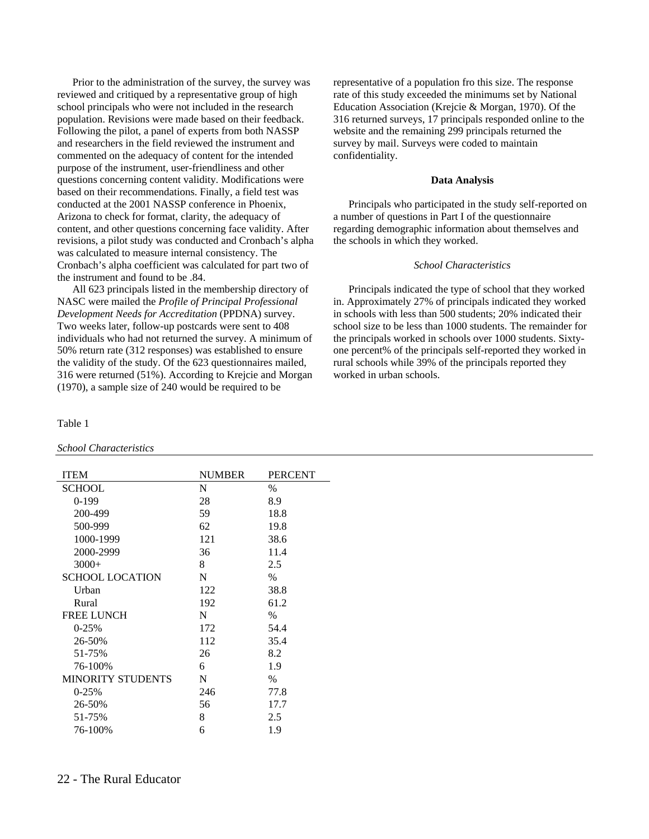Prior to the administration of the survey, the survey was reviewed and critiqued by a representative group of high school principals who were not included in the research population. Revisions were made based on their feedback. Following the pilot, a panel of experts from both NASSP and researchers in the field reviewed the instrument and commented on the adequacy of content for the intended purpose of the instrument, user-friendliness and other questions concerning content validity. Modifications were based on their recommendations. Finally, a field test was conducted at the 2001 NASSP conference in Phoenix, Arizona to check for format, clarity, the adequacy of content, and other questions concerning face validity. After revisions, a pilot study was conducted and Cronbach's alpha was calculated to measure internal consistency. The Cronbach's alpha coefficient was calculated for part two of the instrument and found to be .84.

All 623 principals listed in the membership directory of NASC were mailed the *Profile of Principal Professional Development Needs for Accreditation* (PPDNA) survey. Two weeks later, follow-up postcards were sent to 408 individuals who had not returned the survey. A minimum of 50% return rate (312 responses) was established to ensure the validity of the study. Of the 623 questionnaires mailed, 316 were returned (51%). According to Krejcie and Morgan (1970), a sample size of 240 would be required to be

#### Table 1

#### *School Characteristics*

| <b>ITEM</b>              | <b>NUMBER</b> | <b>PERCENT</b> |
|--------------------------|---------------|----------------|
| <b>SCHOOL</b>            | N             | $\%$           |
| $0-199$                  | 28            | 8.9            |
| 200-499                  | 59            | 18.8           |
| 500-999                  | 62            | 19.8           |
| 1000-1999                | 121           | 38.6           |
| 2000-2999                | 36            | 11.4           |
| $3000+$                  | 8             | 2.5            |
| <b>SCHOOL LOCATION</b>   | N             | $\%$           |
| Urban                    | 122           | 38.8           |
| Rural                    | 192           | 61.2           |
| <b>FREE LUNCH</b>        | N             | $\frac{0}{0}$  |
| $0-25%$                  | 172           | 54.4           |
| 26-50%                   | 112           | 35.4           |
| 51-75%                   | 26            | 8.2            |
| 76-100%                  | 6             | 1.9            |
| <b>MINORITY STUDENTS</b> | N             | $\%$           |
| $0-25%$                  | 246           | 77.8           |
| 26-50%                   | 56            | 17.7           |
| 51-75%                   | 8             | 2.5            |
| 76-100%                  | 6             | 1.9            |

representative of a population fro this size. The response rate of this study exceeded the minimums set by National Education Association (Krejcie & Morgan, 1970). Of the 316 returned surveys, 17 principals responded online to the website and the remaining 299 principals returned the survey by mail. Surveys were coded to maintain confidentiality.

#### **Data Analysis**

Principals who participated in the study self-reported on a number of questions in Part I of the questionnaire regarding demographic information about themselves and the schools in which they worked.

#### *School Characteristics*

Principals indicated the type of school that they worked in. Approximately 27% of principals indicated they worked in schools with less than 500 students; 20% indicated their school size to be less than 1000 students. The remainder for the principals worked in schools over 1000 students. Sixtyone percent% of the principals self-reported they worked in rural schools while 39% of the principals reported they worked in urban schools.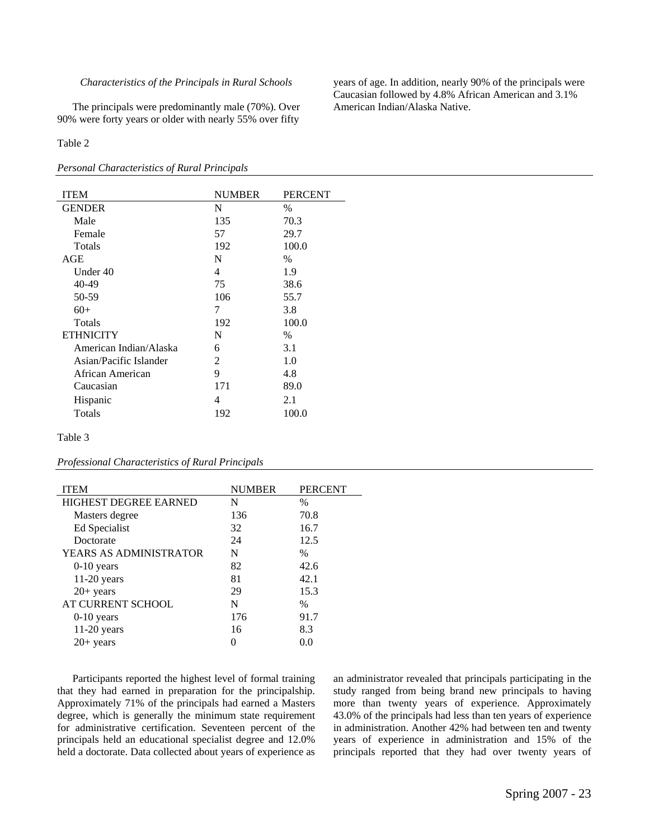#### *Characteristics of the Principals in Rural Schools*

The principals were predominantly male (70%). Over 90% were forty years or older with nearly 55% over fifty

#### Table 2

#### *Personal Characteristics of Rural Principals*

| <b>ITEM</b>            | <b>NUMBER</b> | <b>PERCENT</b> |
|------------------------|---------------|----------------|
| <b>GENDER</b>          | N             | $\frac{0}{0}$  |
| Male                   | 135           | 70.3           |
| Female                 | 57            | 29.7           |
| <b>Totals</b>          | 192           | 100.0          |
| AGE                    | N             | $\%$           |
| Under 40               | 4             | 1.9            |
| 40-49                  | 75            | 38.6           |
| 50-59                  | 106           | 55.7           |
| $60+$                  | 7             | 3.8            |
| <b>Totals</b>          | 192           | 100.0          |
| <b>ETHNICITY</b>       | N             | $\%$           |
| American Indian/Alaska | 6             | 3.1            |
| Asian/Pacific Islander | 2             | 1.0            |
| African American       | 9             | 4.8            |
| Caucasian              | 171           | 89.0           |
| Hispanic               | 4             | 2.1            |
| Totals                 | 192           | 100.0          |

#### Table 3

*Professional Characteristics of Rural Principals* 

| <b>ITEM</b>                  | <b>NUMBER</b> | <b>PERCENT</b> |
|------------------------------|---------------|----------------|
| <b>HIGHEST DEGREE EARNED</b> | N             | $\%$           |
| Masters degree               | 136           | 70.8           |
| Ed Specialist                | 32            | 16.7           |
| Doctorate                    | 24            | 12.5           |
| YEARS AS ADMINISTRATOR       | N             | $\%$           |
| $0-10$ years                 | 82            | 42.6           |
| $11-20$ years                | 81            | 42.1           |
| $20+ years$                  | 29            | 15.3           |
| AT CURRENT SCHOOL            | N             | $\%$           |
| $0-10$ years                 | 176           | 91.7           |
| $11-20$ years                | 16            | 8.3            |
| $20+$ years                  |               | 00             |
|                              |               |                |

Participants reported the highest level of formal training that they had earned in preparation for the principalship. Approximately 71% of the principals had earned a Masters degree, which is generally the minimum state requirement for administrative certification. Seventeen percent of the principals held an educational specialist degree and 12.0% held a doctorate. Data collected about years of experience as an administrator revealed that principals participating in the study ranged from being brand new principals to having more than twenty years of experience. Approximately 43.0% of the principals had less than ten years of experience in administration. Another 42% had between ten and twenty years of experience in administration and 15% of the principals reported that they had over twenty years of

years of age. In addition, nearly 90% of the principals were Caucasian followed by 4.8% African American and 3.1% American Indian/Alaska Native.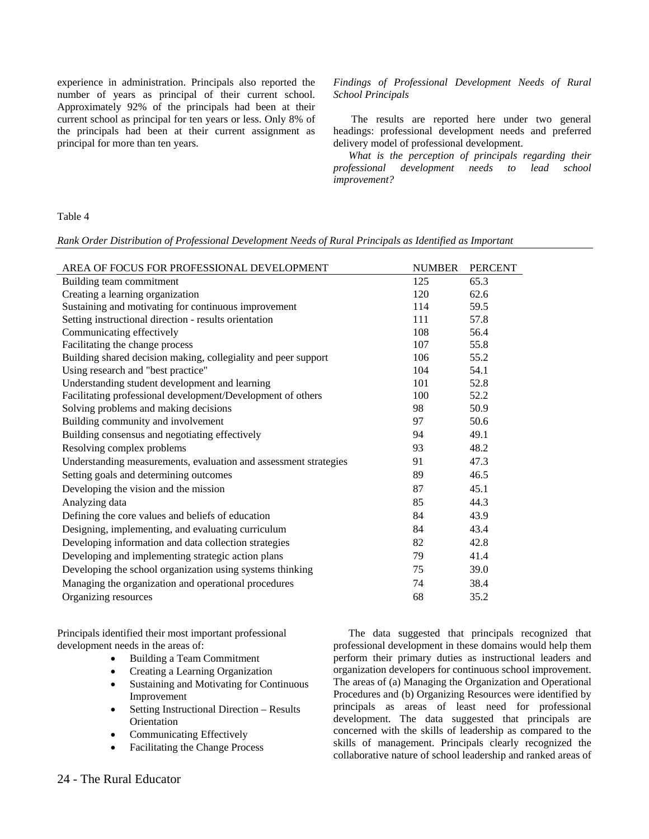experience in administration. Principals also reported the number of years as principal of their current school. Approximately 92% of the principals had been at their current school as principal for ten years or less. Only 8% of the principals had been at their current assignment as principal for more than ten years.

#### *Findings of Professional Development Needs of Rural School Principals*

 The results are reported here under two general headings: professional development needs and preferred delivery model of professional development.

*What is the perception of principals regarding their professional development needs to lead school improvement?* 

#### Table 4

*Rank Order Distribution of Professional Development Needs of Rural Principals as Identified as Important* 

| AREA OF FOCUS FOR PROFESSIONAL DEVELOPMENT                       | <b>NUMBER</b> | PERCENT |
|------------------------------------------------------------------|---------------|---------|
| Building team commitment                                         | 125           | 65.3    |
| Creating a learning organization                                 | 120           | 62.6    |
| Sustaining and motivating for continuous improvement             | 114           | 59.5    |
| Setting instructional direction - results orientation            | 111           | 57.8    |
| Communicating effectively                                        | 108           | 56.4    |
| Facilitating the change process                                  | 107           | 55.8    |
| Building shared decision making, collegiality and peer support   | 106           | 55.2    |
| Using research and "best practice"                               | 104           | 54.1    |
| Understanding student development and learning                   | 101           | 52.8    |
| Facilitating professional development/Development of others      | 100           | 52.2    |
| Solving problems and making decisions                            | 98            | 50.9    |
| Building community and involvement                               | 97            | 50.6    |
| Building consensus and negotiating effectively                   | 94            | 49.1    |
| Resolving complex problems                                       | 93            | 48.2    |
| Understanding measurements, evaluation and assessment strategies | 91            | 47.3    |
| Setting goals and determining outcomes                           | 89            | 46.5    |
| Developing the vision and the mission                            | 87            | 45.1    |
| Analyzing data                                                   | 85            | 44.3    |
| Defining the core values and beliefs of education                | 84            | 43.9    |
| Designing, implementing, and evaluating curriculum               | 84            | 43.4    |
| Developing information and data collection strategies            | 82            | 42.8    |
| Developing and implementing strategic action plans               | 79            | 41.4    |
| Developing the school organization using systems thinking        | 75            | 39.0    |
| Managing the organization and operational procedures             | 74            | 38.4    |
| Organizing resources                                             | 68            | 35.2    |

Principals identified their most important professional development needs in the areas of:

- Building a Team Commitment
- Creating a Learning Organization
- Sustaining and Motivating for Continuous Improvement
- Setting Instructional Direction Results **Orientation**
- Communicating Effectively
- Facilitating the Change Process

The data suggested that principals recognized that professional development in these domains would help them perform their primary duties as instructional leaders and organization developers for continuous school improvement. The areas of (a) Managing the Organization and Operational Procedures and (b) Organizing Resources were identified by principals as areas of least need for professional development. The data suggested that principals are concerned with the skills of leadership as compared to the skills of management. Principals clearly recognized the collaborative nature of school leadership and ranked areas of

#### 24 - The Rural Educator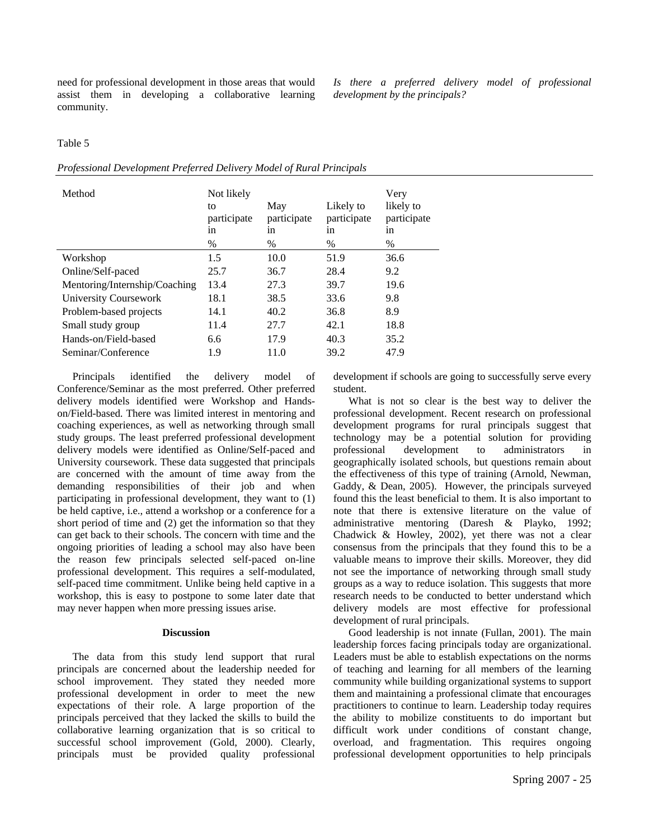need for professional development in those areas that would assist them in developing a collaborative learning community.

*Is there a preferred delivery model of professional development by the principals?* 

#### Table 5

|  |  | Professional Development Preferred Delivery Model of Rural Principals |
|--|--|-----------------------------------------------------------------------|
|  |  |                                                                       |

| Method                        | Not likely<br>to<br>participate<br>1n<br>$\%$ | May<br>participate<br>1n<br>% | Likely to<br>participate<br>1n<br>% | Very<br>likely to<br>participate<br>1n<br>$\%$ |
|-------------------------------|-----------------------------------------------|-------------------------------|-------------------------------------|------------------------------------------------|
| Workshop                      | 1.5                                           | 10.0                          | 51.9                                | 36.6                                           |
| Online/Self-paced             | 25.7                                          | 36.7                          | 28.4                                | 9.2                                            |
| Mentoring/Internship/Coaching | 13.4                                          | 27.3                          | 39.7                                | 19.6                                           |
| University Coursework         | 18.1                                          | 38.5                          | 33.6                                | 9.8                                            |
| Problem-based projects        | 14.1                                          | 40.2                          | 36.8                                | 8.9                                            |
| Small study group             | 11.4                                          | 27.7                          | 42.1                                | 18.8                                           |
| Hands-on/Field-based          | 6.6                                           | 17.9                          | 40.3                                | 35.2                                           |
| Seminar/Conference            | 1.9                                           | 11.0                          | 39.2                                | 47.9                                           |
|                               |                                               |                               |                                     |                                                |

Principals identified the delivery model of Conference/Seminar as the most preferred. Other preferred delivery models identified were Workshop and Handson/Field-based. There was limited interest in mentoring and coaching experiences, as well as networking through small study groups. The least preferred professional development delivery models were identified as Online/Self-paced and University coursework. These data suggested that principals are concerned with the amount of time away from the demanding responsibilities of their job and when participating in professional development, they want to (1) be held captive, i.e., attend a workshop or a conference for a short period of time and (2) get the information so that they can get back to their schools. The concern with time and the ongoing priorities of leading a school may also have been the reason few principals selected self-paced on-line professional development. This requires a self-modulated, self-paced time commitment. Unlike being held captive in a workshop, this is easy to postpone to some later date that may never happen when more pressing issues arise.

#### **Discussion**

The data from this study lend support that rural principals are concerned about the leadership needed for school improvement. They stated they needed more professional development in order to meet the new expectations of their role. A large proportion of the principals perceived that they lacked the skills to build the collaborative learning organization that is so critical to successful school improvement (Gold, 2000). Clearly, principals must be provided quality professional

development if schools are going to successfully serve every student.

What is not so clear is the best way to deliver the professional development. Recent research on professional development programs for rural principals suggest that technology may be a potential solution for providing professional development to administrators in geographically isolated schools, but questions remain about the effectiveness of this type of training (Arnold, Newman, Gaddy, & Dean, 2005). However, the principals surveyed found this the least beneficial to them. It is also important to note that there is extensive literature on the value of administrative mentoring (Daresh & Playko, 1992; Chadwick & Howley, 2002), yet there was not a clear consensus from the principals that they found this to be a valuable means to improve their skills. Moreover, they did not see the importance of networking through small study groups as a way to reduce isolation. This suggests that more research needs to be conducted to better understand which delivery models are most effective for professional development of rural principals.

Good leadership is not innate (Fullan, 2001). The main leadership forces facing principals today are organizational. Leaders must be able to establish expectations on the norms of teaching and learning for all members of the learning community while building organizational systems to support them and maintaining a professional climate that encourages practitioners to continue to learn. Leadership today requires the ability to mobilize constituents to do important but difficult work under conditions of constant change, overload, and fragmentation. This requires ongoing professional development opportunities to help principals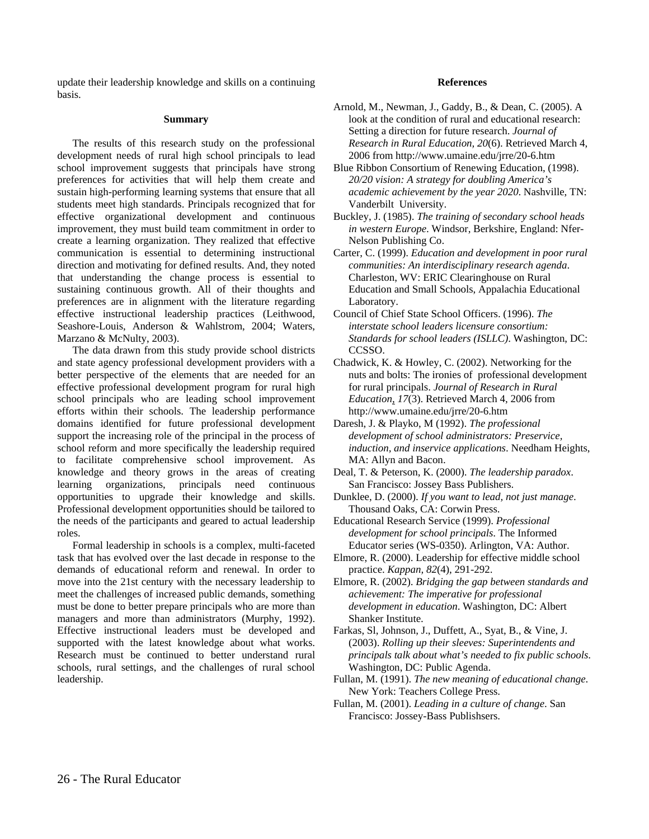update their leadership knowledge and skills on a continuing basis.

#### **Summary**

The results of this research study on the professional development needs of rural high school principals to lead school improvement suggests that principals have strong preferences for activities that will help them create and sustain high-performing learning systems that ensure that all students meet high standards. Principals recognized that for effective organizational development and continuous improvement, they must build team commitment in order to create a learning organization. They realized that effective communication is essential to determining instructional direction and motivating for defined results. And, they noted that understanding the change process is essential to sustaining continuous growth. All of their thoughts and preferences are in alignment with the literature regarding effective instructional leadership practices (Leithwood, Seashore-Louis, Anderson & Wahlstrom, 2004; Waters, Marzano & McNulty, 2003).

The data drawn from this study provide school districts and state agency professional development providers with a better perspective of the elements that are needed for an effective professional development program for rural high school principals who are leading school improvement efforts within their schools. The leadership performance domains identified for future professional development support the increasing role of the principal in the process of school reform and more specifically the leadership required to facilitate comprehensive school improvement. As knowledge and theory grows in the areas of creating learning organizations, principals need continuous opportunities to upgrade their knowledge and skills. Professional development opportunities should be tailored to the needs of the participants and geared to actual leadership roles.

Formal leadership in schools is a complex, multi-faceted task that has evolved over the last decade in response to the demands of educational reform and renewal. In order to move into the 21st century with the necessary leadership to meet the challenges of increased public demands, something must be done to better prepare principals who are more than managers and more than administrators (Murphy, 1992). Effective instructional leaders must be developed and supported with the latest knowledge about what works. Research must be continued to better understand rural schools, rural settings, and the challenges of rural school leadership.

#### **References**

- Arnold, M., Newman, J., Gaddy, B., & Dean, C. (2005). A look at the condition of rural and educational research: Setting a direction for future research. *Journal of Research in Rural Education, 20*(6). Retrieved March 4, 2006 from http://www.umaine.edu/jrre/20-6.htm
- Blue Ribbon Consortium of Renewing Education, (1998). *20/20 vision: A strategy for doubling America's academic achievement by the year 2020*. Nashville, TN: Vanderbilt University.
- Buckley, J. (1985). *The training of secondary school heads in western Europe*. Windsor, Berkshire, England: Nfer-Nelson Publishing Co.
- Carter, C. (1999). *Education and development in poor rural communities: An interdisciplinary research agenda*. Charleston, WV: ERIC Clearinghouse on Rural Education and Small Schools, Appalachia Educational Laboratory.
- Council of Chief State School Officers. (1996). *The interstate school leaders licensure consortium: Standards for school leaders (ISLLC)*. Washington, DC: CCSSO.
- Chadwick, K. & Howley, C. (2002). Networking for the nuts and bolts: The ironies of professional development for rural principals. *Journal of Research in Rural Education, 17*(3). Retrieved March 4, 2006 from http://www.umaine.edu/jrre/20-6.htm
- Daresh, J. & Playko, M (1992). *The professional development of school administrators: Preservice, induction, and inservice applications*. Needham Heights, MA: Allyn and Bacon.
- Deal, T. & Peterson, K. (2000). *The leadership paradox*. San Francisco: Jossey Bass Publishers.
- Dunklee, D. (2000). *If you want to lead, not just manage*. Thousand Oaks, CA: Corwin Press.
- Educational Research Service (1999). *Professional development for school principals*. The Informed Educator series (WS-0350). Arlington, VA: Author.
- Elmore, R. (2000). Leadership for effective middle school practice. *Kappan, 82*(4), 291-292.
- Elmore, R. (2002). *Bridging the gap between standards and achievement: The imperative for professional development in education*. Washington, DC: Albert Shanker Institute.
- Farkas, Sl, Johnson, J., Duffett, A., Syat, B., & Vine, J. (2003). *Rolling up their sleeves: Superintendents and principals talk about what's needed to fix public schools*. Washington, DC: Public Agenda.
- Fullan, M. (1991). *The new meaning of educational change*. New York: Teachers College Press.
- Fullan, M. (2001). *Leading in a culture of change*. San Francisco: Jossey-Bass Publishsers.